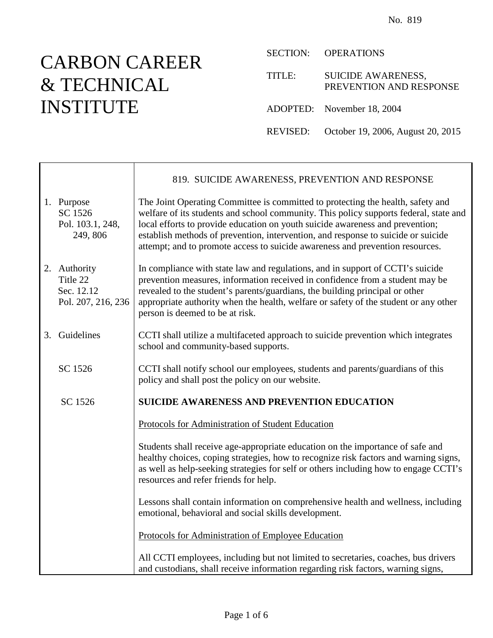# CARBON CAREER & TECHNICAL INSTITUTE

┯

г

SECTION: OPERATIONS

| TITLE: | <b>SUICIDE AWARENESS,</b><br>PREVENTION AND RESPONSE |
|--------|------------------------------------------------------|
|        | ADOPTED: November 18, 2004                           |
|        | REVISED: October 19, 2006, August 20, 2015           |

|                                                              | 819. SUICIDE AWARENESS, PREVENTION AND RESPONSE                                                                                                                                                                                                                                                                                                                                                                                 |
|--------------------------------------------------------------|---------------------------------------------------------------------------------------------------------------------------------------------------------------------------------------------------------------------------------------------------------------------------------------------------------------------------------------------------------------------------------------------------------------------------------|
| 1. Purpose<br>SC 1526<br>Pol. 103.1, 248,<br>249, 806        | The Joint Operating Committee is committed to protecting the health, safety and<br>welfare of its students and school community. This policy supports federal, state and<br>local efforts to provide education on youth suicide awareness and prevention;<br>establish methods of prevention, intervention, and response to suicide or suicide<br>attempt; and to promote access to suicide awareness and prevention resources. |
| 2. Authority<br>Title 22<br>Sec. 12.12<br>Pol. 207, 216, 236 | In compliance with state law and regulations, and in support of CCTI's suicide<br>prevention measures, information received in confidence from a student may be<br>revealed to the student's parents/guardians, the building principal or other<br>appropriate authority when the health, welfare or safety of the student or any other<br>person is deemed to be at risk.                                                      |
| 3. Guidelines                                                | CCTI shall utilize a multifaceted approach to suicide prevention which integrates<br>school and community-based supports.                                                                                                                                                                                                                                                                                                       |
| SC 1526                                                      | CCTI shall notify school our employees, students and parents/guardians of this<br>policy and shall post the policy on our website.                                                                                                                                                                                                                                                                                              |
| SC 1526                                                      | <b>SUICIDE AWARENESS AND PREVENTION EDUCATION</b>                                                                                                                                                                                                                                                                                                                                                                               |
|                                                              | Protocols for Administration of Student Education                                                                                                                                                                                                                                                                                                                                                                               |
|                                                              | Students shall receive age-appropriate education on the importance of safe and<br>healthy choices, coping strategies, how to recognize risk factors and warning signs,<br>as well as help-seeking strategies for self or others including how to engage CCTI's<br>resources and refer friends for help.                                                                                                                         |
|                                                              | Lessons shall contain information on comprehensive health and wellness, including<br>emotional, behavioral and social skills development.                                                                                                                                                                                                                                                                                       |
|                                                              | Protocols for Administration of Employee Education                                                                                                                                                                                                                                                                                                                                                                              |
|                                                              | All CCTI employees, including but not limited to secretaries, coaches, bus drivers<br>and custodians, shall receive information regarding risk factors, warning signs,                                                                                                                                                                                                                                                          |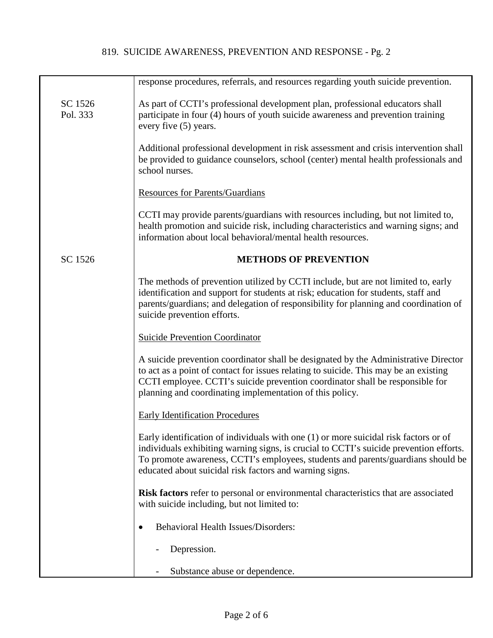|                     | response procedures, referrals, and resources regarding youth suicide prevention.                                                                                                                                                                                                                                             |
|---------------------|-------------------------------------------------------------------------------------------------------------------------------------------------------------------------------------------------------------------------------------------------------------------------------------------------------------------------------|
| SC 1526<br>Pol. 333 | As part of CCTI's professional development plan, professional educators shall<br>participate in four (4) hours of youth suicide awareness and prevention training<br>every five (5) years.                                                                                                                                    |
|                     | Additional professional development in risk assessment and crisis intervention shall<br>be provided to guidance counselors, school (center) mental health professionals and<br>school nurses.                                                                                                                                 |
|                     | <b>Resources for Parents/Guardians</b>                                                                                                                                                                                                                                                                                        |
|                     | CCTI may provide parents/guardians with resources including, but not limited to,<br>health promotion and suicide risk, including characteristics and warning signs; and<br>information about local behavioral/mental health resources.                                                                                        |
| SC 1526             | <b>METHODS OF PREVENTION</b>                                                                                                                                                                                                                                                                                                  |
|                     | The methods of prevention utilized by CCTI include, but are not limited to, early<br>identification and support for students at risk; education for students, staff and<br>parents/guardians; and delegation of responsibility for planning and coordination of<br>suicide prevention efforts.                                |
|                     | <b>Suicide Prevention Coordinator</b>                                                                                                                                                                                                                                                                                         |
|                     | A suicide prevention coordinator shall be designated by the Administrative Director<br>to act as a point of contact for issues relating to suicide. This may be an existing<br>CCTI employee. CCTI's suicide prevention coordinator shall be responsible for<br>planning and coordinating implementation of this policy.      |
|                     | <b>Early Identification Procedures</b>                                                                                                                                                                                                                                                                                        |
|                     | Early identification of individuals with one (1) or more suicidal risk factors or of<br>individuals exhibiting warning signs, is crucial to CCTI's suicide prevention efforts.<br>To promote awareness, CCTI's employees, students and parents/guardians should be<br>educated about suicidal risk factors and warning signs. |
|                     | Risk factors refer to personal or environmental characteristics that are associated<br>with suicide including, but not limited to:                                                                                                                                                                                            |
|                     | <b>Behavioral Health Issues/Disorders:</b>                                                                                                                                                                                                                                                                                    |
|                     | Depression.                                                                                                                                                                                                                                                                                                                   |
|                     | Substance abuse or dependence.                                                                                                                                                                                                                                                                                                |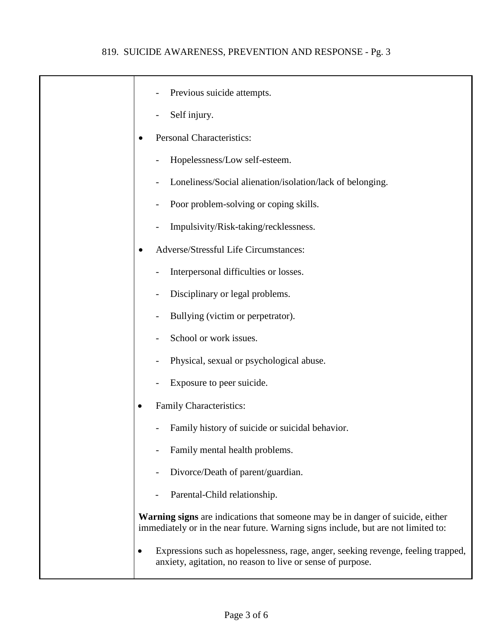| Previous suicide attempts.                                                                                                                                          |
|---------------------------------------------------------------------------------------------------------------------------------------------------------------------|
| Self injury.                                                                                                                                                        |
| <b>Personal Characteristics:</b>                                                                                                                                    |
| Hopelessness/Low self-esteem.                                                                                                                                       |
| Loneliness/Social alienation/isolation/lack of belonging.                                                                                                           |
| Poor problem-solving or coping skills.                                                                                                                              |
| Impulsivity/Risk-taking/recklessness.                                                                                                                               |
| Adverse/Stressful Life Circumstances:<br>$\bullet$                                                                                                                  |
| Interpersonal difficulties or losses.                                                                                                                               |
| Disciplinary or legal problems.                                                                                                                                     |
| Bullying (victim or perpetrator).                                                                                                                                   |
| School or work issues.                                                                                                                                              |
| Physical, sexual or psychological abuse.                                                                                                                            |
| Exposure to peer suicide.                                                                                                                                           |
| Family Characteristics:                                                                                                                                             |
| Family history of suicide or suicidal behavior.                                                                                                                     |
| Family mental health problems.                                                                                                                                      |
| Divorce/Death of parent/guardian.                                                                                                                                   |
| Parental-Child relationship.                                                                                                                                        |
| Warning signs are indications that someone may be in danger of suicide, either<br>immediately or in the near future. Warning signs include, but are not limited to: |
| Expressions such as hopelessness, rage, anger, seeking revenge, feeling trapped,<br>anxiety, agitation, no reason to live or sense of purpose.                      |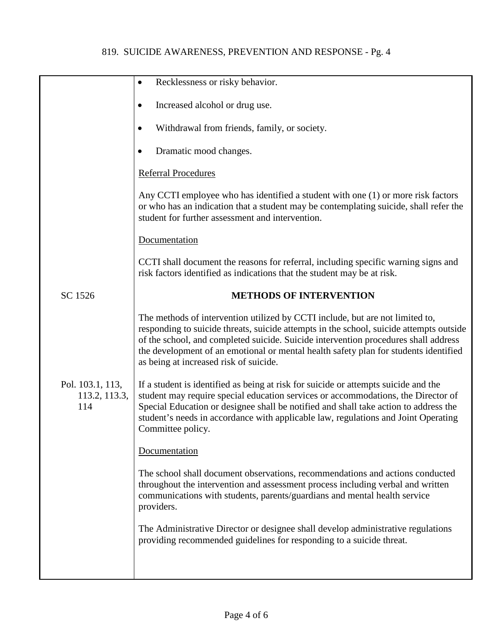|                                          | Recklessness or risky behavior.<br>$\bullet$                                                                                                                                                                                                                                                                                                                                                      |
|------------------------------------------|---------------------------------------------------------------------------------------------------------------------------------------------------------------------------------------------------------------------------------------------------------------------------------------------------------------------------------------------------------------------------------------------------|
|                                          | Increased alcohol or drug use.<br>$\bullet$                                                                                                                                                                                                                                                                                                                                                       |
|                                          | Withdrawal from friends, family, or society.<br>$\bullet$                                                                                                                                                                                                                                                                                                                                         |
|                                          | Dramatic mood changes.                                                                                                                                                                                                                                                                                                                                                                            |
|                                          | <b>Referral Procedures</b>                                                                                                                                                                                                                                                                                                                                                                        |
|                                          | Any CCTI employee who has identified a student with one (1) or more risk factors<br>or who has an indication that a student may be contemplating suicide, shall refer the<br>student for further assessment and intervention.                                                                                                                                                                     |
|                                          | Documentation                                                                                                                                                                                                                                                                                                                                                                                     |
|                                          | CCTI shall document the reasons for referral, including specific warning signs and<br>risk factors identified as indications that the student may be at risk.                                                                                                                                                                                                                                     |
| SC 1526                                  | <b>METHODS OF INTERVENTION</b>                                                                                                                                                                                                                                                                                                                                                                    |
|                                          | The methods of intervention utilized by CCTI include, but are not limited to,<br>responding to suicide threats, suicide attempts in the school, suicide attempts outside<br>of the school, and completed suicide. Suicide intervention procedures shall address<br>the development of an emotional or mental health safety plan for students identified<br>as being at increased risk of suicide. |
| Pol. 103.1, 113,<br>113.2, 113.3,<br>114 | If a student is identified as being at risk for suicide or attempts suicide and the<br>student may require special education services or accommodations, the Director of<br>Special Education or designee shall be notified and shall take action to address the<br>student's needs in accordance with applicable law, regulations and Joint Operating<br>Committee policy.                       |
|                                          | Documentation                                                                                                                                                                                                                                                                                                                                                                                     |
|                                          | The school shall document observations, recommendations and actions conducted<br>throughout the intervention and assessment process including verbal and written<br>communications with students, parents/guardians and mental health service<br>providers.                                                                                                                                       |
|                                          | The Administrative Director or designee shall develop administrative regulations<br>providing recommended guidelines for responding to a suicide threat.                                                                                                                                                                                                                                          |
|                                          |                                                                                                                                                                                                                                                                                                                                                                                                   |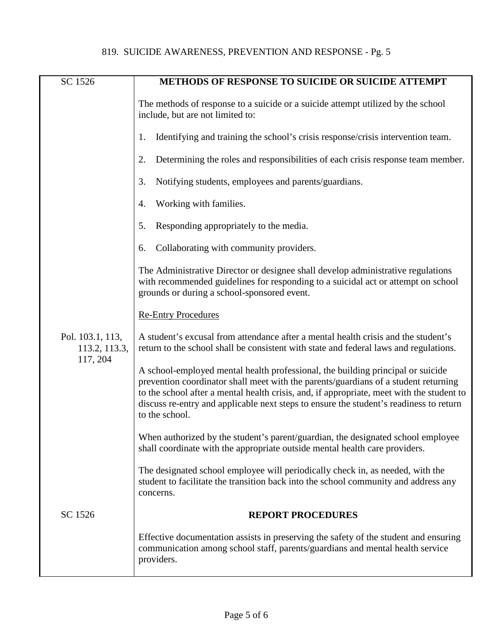| SC 1526                                       | METHODS OF RESPONSE TO SUICIDE OR SUICIDE ATTEMPT                                                                                                                                                                                                                                                                                                                               |
|-----------------------------------------------|---------------------------------------------------------------------------------------------------------------------------------------------------------------------------------------------------------------------------------------------------------------------------------------------------------------------------------------------------------------------------------|
|                                               | The methods of response to a suicide or a suicide attempt utilized by the school<br>include, but are not limited to:                                                                                                                                                                                                                                                            |
|                                               | Identifying and training the school's crisis response/crisis intervention team.<br>1.                                                                                                                                                                                                                                                                                           |
|                                               | Determining the roles and responsibilities of each crisis response team member.<br>2.                                                                                                                                                                                                                                                                                           |
|                                               | Notifying students, employees and parents/guardians.<br>3.                                                                                                                                                                                                                                                                                                                      |
|                                               | Working with families.<br>4.                                                                                                                                                                                                                                                                                                                                                    |
|                                               | Responding appropriately to the media.<br>5.                                                                                                                                                                                                                                                                                                                                    |
|                                               | Collaborating with community providers.<br>6.                                                                                                                                                                                                                                                                                                                                   |
|                                               | The Administrative Director or designee shall develop administrative regulations<br>with recommended guidelines for responding to a suicidal act or attempt on school<br>grounds or during a school-sponsored event.                                                                                                                                                            |
|                                               | <b>Re-Entry Procedures</b>                                                                                                                                                                                                                                                                                                                                                      |
| Pol. 103.1, 113,<br>113.2, 113.3,<br>117, 204 | A student's excusal from attendance after a mental health crisis and the student's<br>return to the school shall be consistent with state and federal laws and regulations.                                                                                                                                                                                                     |
|                                               | A school-employed mental health professional, the building principal or suicide<br>prevention coordinator shall meet with the parents/guardians of a student returning<br>to the school after a mental health crisis, and, if appropriate, meet with the student to<br>discuss re-entry and applicable next steps to ensure the student's readiness to return<br>to the school. |
|                                               | When authorized by the student's parent/guardian, the designated school employee<br>shall coordinate with the appropriate outside mental health care providers.                                                                                                                                                                                                                 |
|                                               | The designated school employee will periodically check in, as needed, with the<br>student to facilitate the transition back into the school community and address any<br>concerns.                                                                                                                                                                                              |
| SC 1526                                       | <b>REPORT PROCEDURES</b>                                                                                                                                                                                                                                                                                                                                                        |
|                                               | Effective documentation assists in preserving the safety of the student and ensuring<br>communication among school staff, parents/guardians and mental health service<br>providers.                                                                                                                                                                                             |